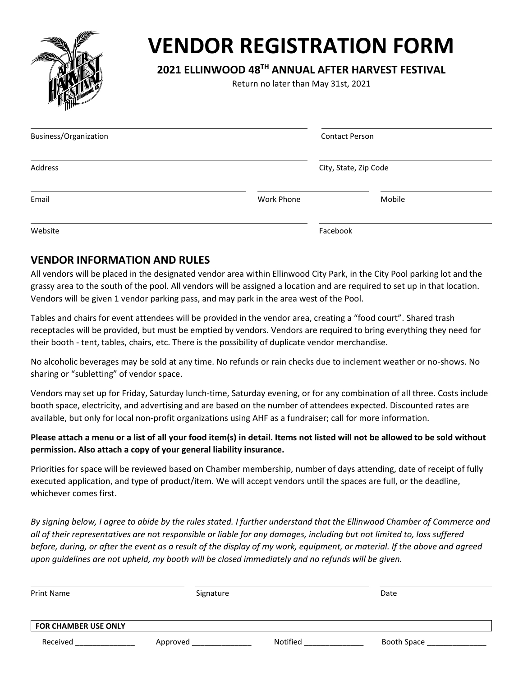

# **VENDOR REGISTRATION FORM**

# **2021 ELLINWOOD 48 TH ANNUAL AFTER HARVEST FESTIVAL**

Return no later than May 31st, 2021

| Business/Organization |            | <b>Contact Person</b> |  |
|-----------------------|------------|-----------------------|--|
| Address               |            | City, State, Zip Code |  |
| Email                 | Work Phone | Mobile                |  |
| Website               | Facebook   |                       |  |

### **VENDOR INFORMATION AND RULES**

All vendors will be placed in the designated vendor area within Ellinwood City Park, in the City Pool parking lot and the grassy area to the south of the pool. All vendors will be assigned a location and are required to set up in that location. Vendors will be given 1 vendor parking pass, and may park in the area west of the Pool.

Tables and chairs for event attendees will be provided in the vendor area, creating a "food court". Shared trash receptacles will be provided, but must be emptied by vendors. Vendors are required to bring everything they need for their booth - tent, tables, chairs, etc. There is the possibility of duplicate vendor merchandise.

No alcoholic beverages may be sold at any time. No refunds or rain checks due to inclement weather or no-shows. No sharing or "subletting" of vendor space.

Vendors may set up for Friday, Saturday lunch-time, Saturday evening, or for any combination of all three. Costs include booth space, electricity, and advertising and are based on the number of attendees expected. Discounted rates are available, but only for local non-profit organizations using AHF as a fundraiser; call for more information.

#### **Please attach a menu or a list of all your food item(s) in detail. Items not listed will not be allowed to be sold without permission. Also attach a copy of your general liability insurance.**

Priorities for space will be reviewed based on Chamber membership, number of days attending, date of receipt of fully executed application, and type of product/item. We will accept vendors until the spaces are full, or the deadline, whichever comes first.

*By signing below, I agree to abide by the rules stated. I further understand that the Ellinwood Chamber of Commerce and all of their representatives are not responsible or liable for any damages, including but not limited to, loss suffered before, during, or after the event as a result of the display of my work, equipment, or material. If the above and agreed upon guidelines are not upheld, my booth will be closed immediately and no refunds will be given.*

| <b>Print Name</b>           | Signature |          | Date        |
|-----------------------------|-----------|----------|-------------|
| <b>FOR CHAMBER USE ONLY</b> |           |          |             |
| Received                    | Approved  | Notified | Booth Space |